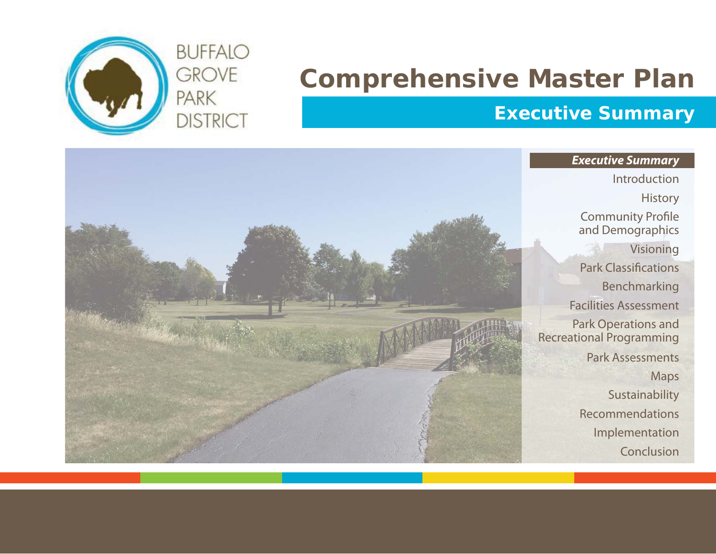

# **Comprehensive Master Plan**

# **Executive Summary**

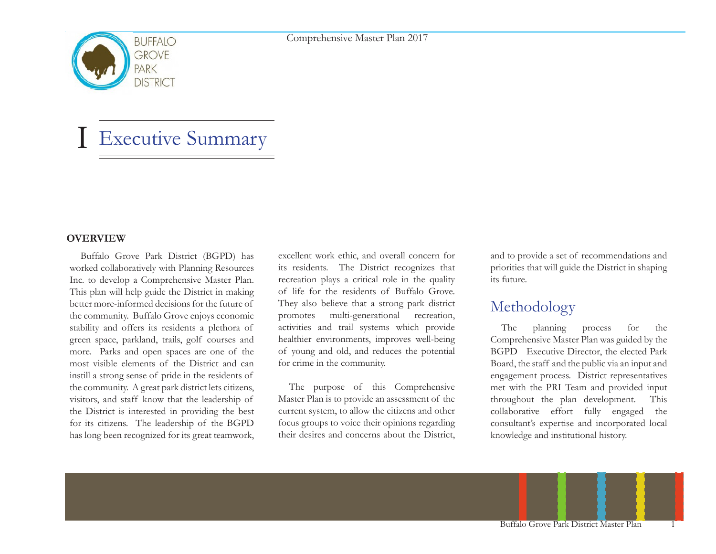

# Executive Summary

#### **OVERVIEW**

I

Buffalo Grove Park District (BGPD) has worked collaboratively with Planning Resources Inc. to develop a Comprehensive Master Plan. This plan will help guide the District in making better more-informed decisions for the future of the community. Buffalo Grove enjoys economic stability and offers its residents a plethora of green space, parkland, trails, golf courses and more. Parks and open spaces are one of the most visible elements of the District and can instill a strong sense of pride in the residents of the community. A great park district lets citizens, visitors, and staff know that the leadership of the District is interested in providing the best for its citizens. The leadership of the BGPD has long been recognized for its great teamwork, excellent work ethic, and overall concern for its residents. The District recognizes that recreation plays a critical role in the quality of life for the residents of Buffalo Grove. They also believe that a strong park district promotes multi-generational recreation, activities and trail systems which provide healthier environments, improves well-being of young and old, and reduces the potential for crime in the community.

The purpose of this Comprehensive Master Plan is to provide an assessment of the current system, to allow the citizens and other focus groups to voice their opinions regarding their desires and concerns about the District,

and to provide a set of recommendations and priorities that will guide the District in shaping its future.

## Methodology

The planning process for the Comprehensive Master Plan was guided by the BGPD Executive Director, the elected Park Board, the staff and the public via an input and engagement process. District representatives met with the PRI Team and provided input throughout the plan development. This collaborative effort fully engaged the consultant's expertise and incorporated local knowledge and institutional history.

Buffalo Grove Park District Master Plan 1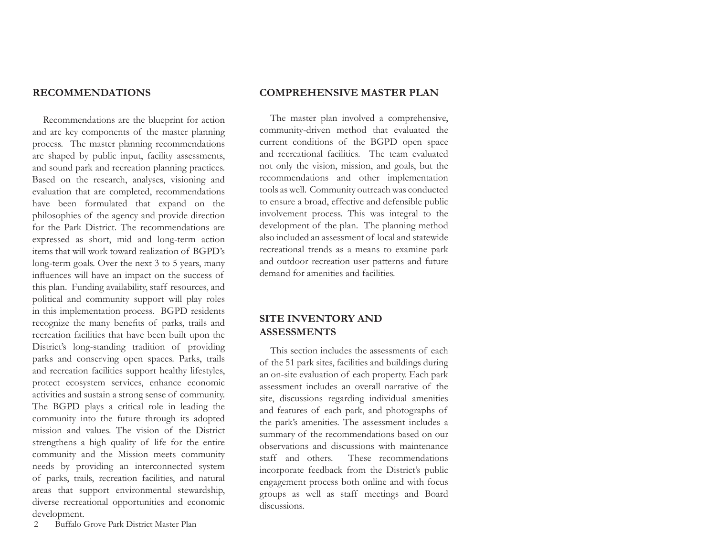Recommendations are the blueprint for action and are key components of the master planning process. The master planning recommendations are shaped by public input, facility assessments, and sound park and recreation planning practices. Based on the research, analyses, visioning and evaluation that are completed, recommendations have been formulated that expand on the philosophies of the agency and provide direction for the Park District. The recommendations are expressed as short, mid and long-term action items that will work toward realization of BGPD's long-term goals. Over the next 3 to 5 years, many influences will have an impact on the success of this plan. Funding availability, staff resources, and political and community support will play roles in this implementation process. BGPD residents recognize the many benefits of parks, trails and recreation facilities that have been built upon the District's long-standing tradition of providing parks and conserving open spaces. Parks, trails and recreation facilities support healthy lifestyles, protect ecosystem services, enhance economic activities and sustain a strong sense of community. The BGPD plays a critical role in leading the community into the future through its adopted mission and values. The vision of the District strengthens a high quality of life for the entire community and the Mission meets community needs by providing an interconnected system of parks, trails, recreation facilities, and natural areas that support environmental stewardship, diverse recreational opportunities and economic development.

#### **RECOMMENDATIONS COMPREHENSIVE MASTER PLAN**

The master plan involved a comprehensive, community-driven method that evaluated the current conditions of the BGPD open space and recreational facilities. The team evaluated not only the vision, mission, and goals, but the recommendations and other implementation tools as well. Community outreach was conducted to ensure a broad, effective and defensible public involvement process. This was integral to the development of the plan. The planning method also included an assessment of local and statewide recreational trends as a means to examine park and outdoor recreation user patterns and future demand for amenities and facilities.

#### **SITE INVENTORY AND ASSESSMENTS**

This section includes the assessments of each of the 51 park sites, facilities and buildings during an on-site evaluation of each property. Each park assessment includes an overall narrative of the site, discussions regarding individual amenities and features of each park, and photographs of the park's amenities. The assessment includes a summary of the recommendations based on our observations and discussions with maintenance staff and others. These recommendations incorporate feedback from the District's public engagement process both online and with focus groups as well as staff meetings and Board discussions.

2 Buffalo Grove Park District Master Plan